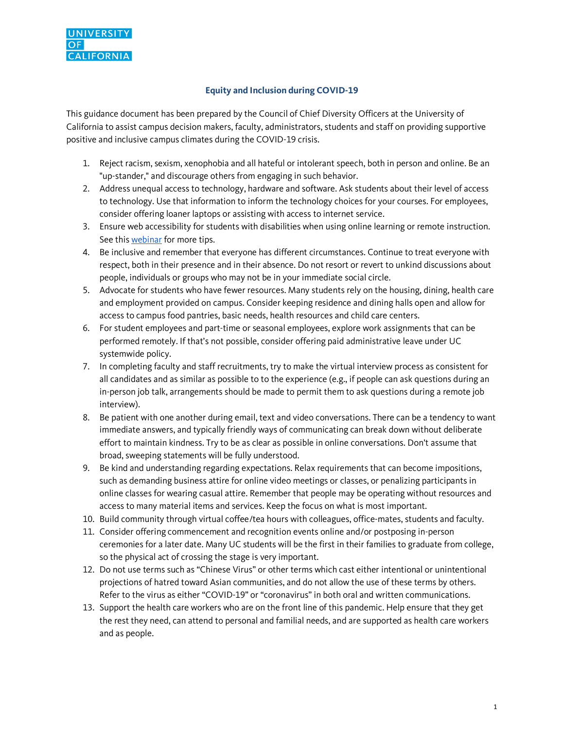

## **Equity and Inclusion during COVID-19**

This guidance document has been prepared by the Council of Chief Diversity Officers at the University of California to assist campus decision makers, faculty, administrators, students and staff on providing supportive positive and inclusive campus climates during the COVID-19 crisis.

- 1. Reject racism, sexism, xenophobia and all hateful or intolerant speech, both in person and online. Be an "up-stander," and discourage others from engaging in such behavior.
- 2. Address unequal access to technology, hardware and software. Ask students about their level of access to technology. Use that information to inform the technology choices for your courses. For employees, consider offering loaner laptops or assisting with access to internet service.
- 3. Ensure web accessibility for students with disabilities when using online learning or remote instruction. See this webinar for more tips.
- 4. Be inclusive and remember that everyone has different circumstances. Continue to treat everyone with respect, both in their presence and in their absence. Do not resort or revert to unkind discussions about people, individuals or groups who may not be in your immediate social circle.
- 5. Advocate for students who have fewer resources. Many students rely on the housing, dining, health care and employment provided on campus. Consider keeping residence and dining halls open and allow for access to campus food pantries, basic needs, health resources and child care centers.
- 6. For student employees and part-time or seasonal employees, explore work assignments that can be performed remotely. If that's not possible, consider offering paid administrative leave under UC systemwide policy.
- 7. In completing faculty and staff recruitments, try to make the virtual interview process as consistent for all candidates and as similar as possible to to the experience (e.g., if people can ask questions during an in-person job talk, arrangements should be made to permit them to ask questions during a remote job interview).
- 8. Be patient with one another during email, text and video conversations. There can be a tendency to want immediate answers, and typically friendly ways of communicating can break down without deliberate effort to maintain kindness. Try to be as clear as possible in online conversations. Don't assume that broad, sweeping statements will be fully understood.
- 9. Be kind and understanding regarding expectations. Relax requirements that can become impositions, such as demanding business attire for online video meetings or classes, or penalizing participants in online classes for wearing casual attire. Remember that people may be operating without resources and access to many material items and services. Keep the focus on what is most important.
- 10. Build community through virtual coffee/tea hours with colleagues, office-mates, students and faculty.
- 11. Consider offering commencement and recognition events online and/or postposing in-person ceremonies for a later date. Many UC students will be the first in their families to graduate from college, so the physical act of crossing the stage is very important.
- 12. Do not use terms such as "Chinese Virus" or other terms which cast either intentional or unintentional projections of hatred toward Asian communities, and do not allow the use of these terms by others. Refer to the virus as either "COVID-19" or "coronavirus" in both oral and written communications.
- 13. Support the health care workers who are on the front line of this pandemic. Help ensure that they get the rest they need, can attend to personal and familial needs, and are supported as health care workers and as people.